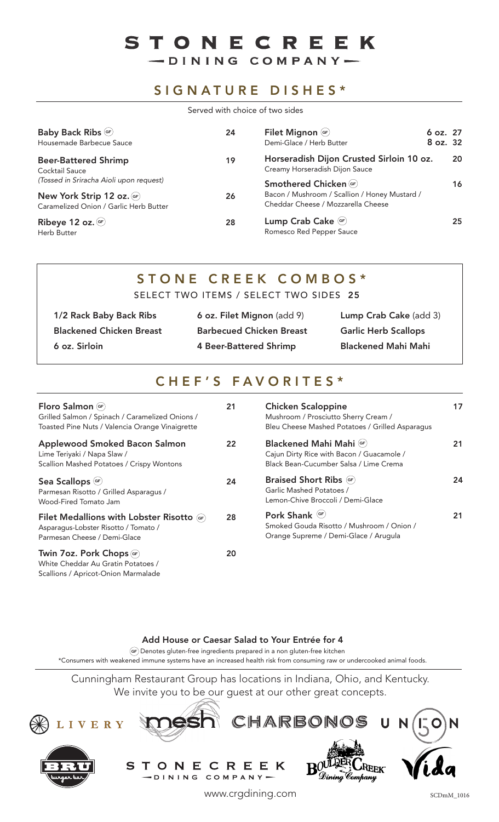# STONECREEK

-DINING COMPANY-

### SIGNATURE DISHES\*

Served with choice of two sides

| Baby Back Ribs <sup>GF</sup><br>Housemade Barbecue Sauce            | 24 | Filet Mignon (GF)<br>Demi-Glace / Herb Butter                                       | 6 oz. 27<br>8 oz. 32 |    |
|---------------------------------------------------------------------|----|-------------------------------------------------------------------------------------|----------------------|----|
| <b>Beer-Battered Shrimp</b><br>Cocktail Sauce                       | 19 | Horseradish Dijon Crusted Sirloin 10 oz.<br>Creamy Horseradish Dijon Sauce          |                      | 20 |
| (Tossed in Sriracha Aioli upon request)                             |    | Smothered Chicken (GF)                                                              |                      | 16 |
| New York Strip 12 oz. GF)<br>Caramelized Onion / Garlic Herb Butter | 26 | Bacon / Mushroom / Scallion / Honey Mustard /<br>Cheddar Cheese / Mozzarella Cheese |                      |    |
| Ribeye 12 oz. $\times$<br>Herb Butter                               | 28 | Lump Crab Cake GF<br>Romesco Red Pepper Sauce                                       |                      | 25 |

# STONE CREEK COMBOS\*

SELECT TWO ITEMS / SELECT TWO SIDES 25

| 1/2 Rack Baby Back Ribs         | 6 oz. Filet Mignon (add 9)      | Lump Crab Cake (add 3)      |
|---------------------------------|---------------------------------|-----------------------------|
| <b>Blackened Chicken Breast</b> | <b>Barbecued Chicken Breast</b> | <b>Garlic Herb Scallops</b> |
| 6 oz. Sirloin                   | 4 Beer-Battered Shrimp          | <b>Blackened Mahi Mahi</b>  |

# CHEF'S FAVORITES\*

| Floro Salmon (GF)<br>Grilled Salmon / Spinach / Caramelized Onions /<br>Toasted Pine Nuts / Valencia Orange Vinaigrette   | 21 |
|---------------------------------------------------------------------------------------------------------------------------|----|
| Applewood Smoked Bacon Salmon<br>Lime Teriyaki / Napa Slaw /<br>Scallion Mashed Potatoes / Crispy Wontons                 | 22 |
| Sea Scallops (GF)<br>Parmesan Risotto / Grilled Asparagus /<br>Wood-Fired Tomato Jam                                      | 24 |
| <b>Filet Medallions with Lobster Risotto (GF)</b><br>Asparagus-Lobster Risotto / Tomato /<br>Parmesan Cheese / Demi-Glace | 28 |
| Twin 7oz. Pork Chops (GF)<br>White Cheddar Au Gratin Potatoes /<br>Scallions / Apricot-Onion Marmalade                    | 20 |

| <b>Chicken Scaloppine</b><br>Mushroom / Prosciutto Sherry Cream /<br>Bleu Cheese Mashed Potatoes / Grilled Asparagus |    |
|----------------------------------------------------------------------------------------------------------------------|----|
| Blackened Mahi Mahi (GF)<br>Cajun Dirty Rice with Bacon / Guacamole /<br>Black Bean-Cucumber Salsa / Lime Crema      | 21 |
| <b>Braised Short Ribs</b> (GF)<br>Garlic Mashed Potatoes /<br>Lemon-Chive Broccoli / Demi-Glace                      | 24 |
| Pork Shank <sup>(GF)</sup><br>Smoked Gouda Risotto / Mushroom / Onion /<br>Orange Supreme / Demi-Glace / Arugula     |    |

#### Add House or Caesar Salad to Your Entrée for 4

Denotes gluten-free ingredients prepared in a non gluten-free kitchen **GF**

\*Consumers with weakened immune systems have an increased health risk from consuming raw or undercooked animal foods.

Cunningham Restaurant Group has locations in Indiana, Ohio, and Kentucky. We invite you to be our guest at our other great concepts.



SCDmM\_1016